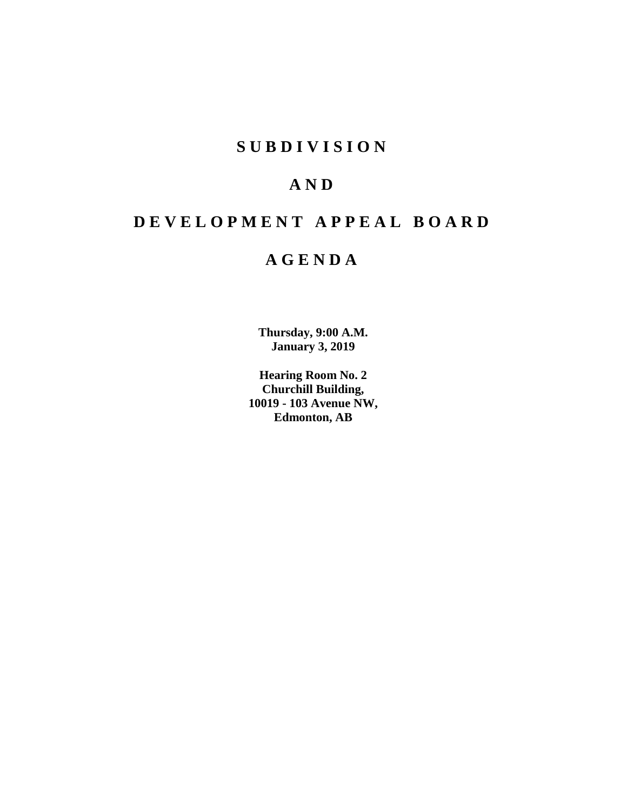# **SUBDIVISION**

# **AND**

# **DEVELOPMENT APPEAL BOARD**

# **AGENDA**

**Thursday, 9:00 A.M. January 3, 2019**

**Hearing Room No. 2 Churchill Building, 10019 - 103 Avenue NW, Edmonton, AB**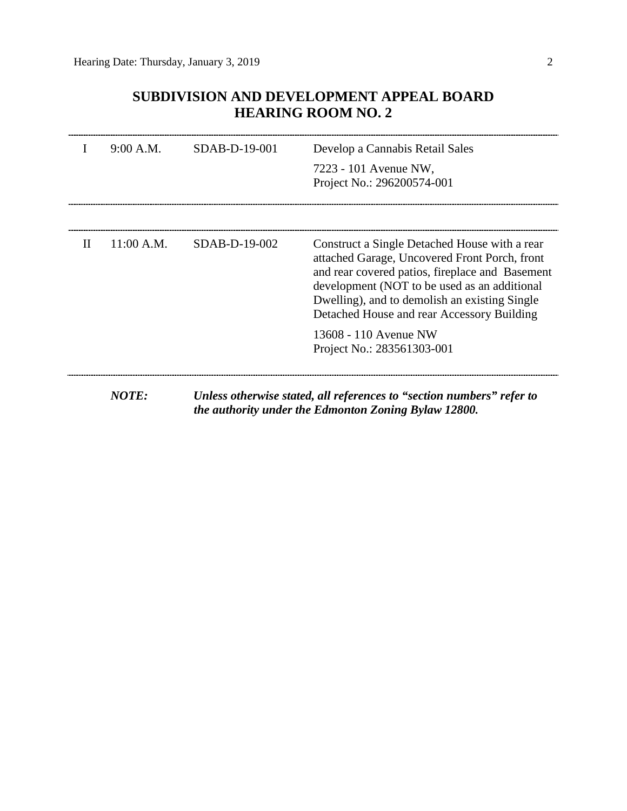# **SUBDIVISION AND DEVELOPMENT APPEAL BOARD HEARING ROOM NO. 2**

|   | 9:00 A.M.  | SDAB-D-19-001 | Develop a Cannabis Retail Sales                                                                                                                                                                                                                                                                  |
|---|------------|---------------|--------------------------------------------------------------------------------------------------------------------------------------------------------------------------------------------------------------------------------------------------------------------------------------------------|
|   |            |               | 7223 - 101 Avenue NW,<br>Project No.: 296200574-001                                                                                                                                                                                                                                              |
|   |            |               |                                                                                                                                                                                                                                                                                                  |
| H | 11:00 A.M. | SDAB-D-19-002 | Construct a Single Detached House with a rear<br>attached Garage, Uncovered Front Porch, front<br>and rear covered patios, fireplace and Basement<br>development (NOT to be used as an additional<br>Dwelling), and to demolish an existing Single<br>Detached House and rear Accessory Building |
|   |            |               | 13608 - 110 Avenue NW<br>Project No.: 283561303-001                                                                                                                                                                                                                                              |
|   | NOTE:      |               | Unless otherwise stated, all references to "section numbers" refer to                                                                                                                                                                                                                            |

*the authority under the Edmonton Zoning Bylaw 12800.*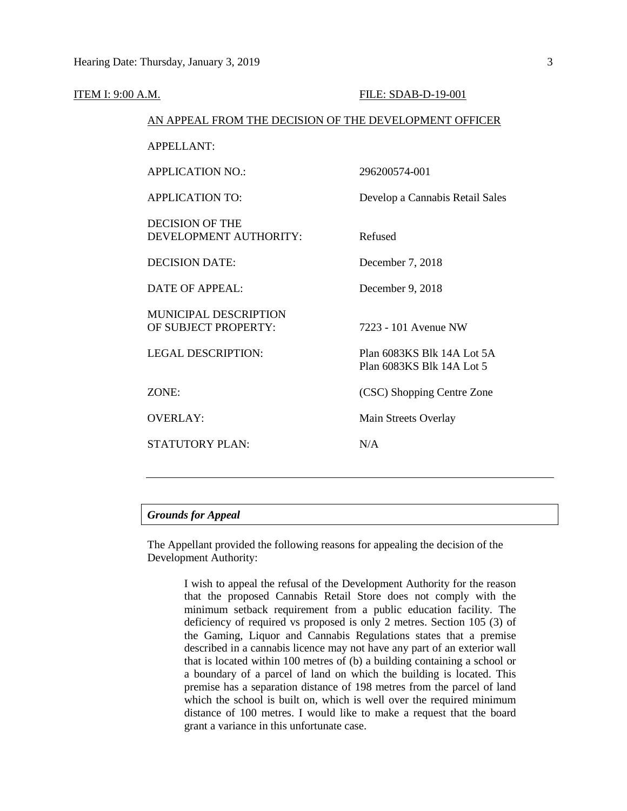| ITEM I: 9:00 A.M. |                                                        | FILE: SDAB-D-19-001                                     |  |
|-------------------|--------------------------------------------------------|---------------------------------------------------------|--|
|                   | AN APPEAL FROM THE DECISION OF THE DEVELOPMENT OFFICER |                                                         |  |
|                   | <b>APPELLANT:</b>                                      |                                                         |  |
|                   | <b>APPLICATION NO.:</b>                                | 296200574-001                                           |  |
|                   | <b>APPLICATION TO:</b>                                 | Develop a Cannabis Retail Sales                         |  |
|                   | <b>DECISION OF THE</b><br>DEVELOPMENT AUTHORITY:       | Refused                                                 |  |
|                   | <b>DECISION DATE:</b>                                  | December 7, 2018                                        |  |
|                   | <b>DATE OF APPEAL:</b>                                 | December 9, 2018                                        |  |
|                   | MUNICIPAL DESCRIPTION<br>OF SUBJECT PROPERTY:          | 7223 - 101 Avenue NW                                    |  |
|                   | <b>LEGAL DESCRIPTION:</b>                              | Plan 6083KS Blk 14A Lot 5A<br>Plan 6083KS Blk 14A Lot 5 |  |
|                   | ZONE:                                                  | (CSC) Shopping Centre Zone                              |  |
|                   | <b>OVERLAY:</b>                                        | Main Streets Overlay                                    |  |
|                   | <b>STATUTORY PLAN:</b>                                 | N/A                                                     |  |
|                   |                                                        |                                                         |  |

# *Grounds for Appeal*

The Appellant provided the following reasons for appealing the decision of the Development Authority:

> I wish to appeal the refusal of the Development Authority for the reason that the proposed Cannabis Retail Store does not comply with the minimum setback requirement from a public education facility. The deficiency of required vs proposed is only 2 metres. Section 105 (3) of the Gaming, Liquor and Cannabis Regulations states that a premise described in a cannabis licence may not have any part of an exterior wall that is located within 100 metres of (b) a building containing a school or a boundary of a parcel of land on which the building is located. This premise has a separation distance of 198 metres from the parcel of land which the school is built on, which is well over the required minimum distance of 100 metres. I would like to make a request that the board grant a variance in this unfortunate case.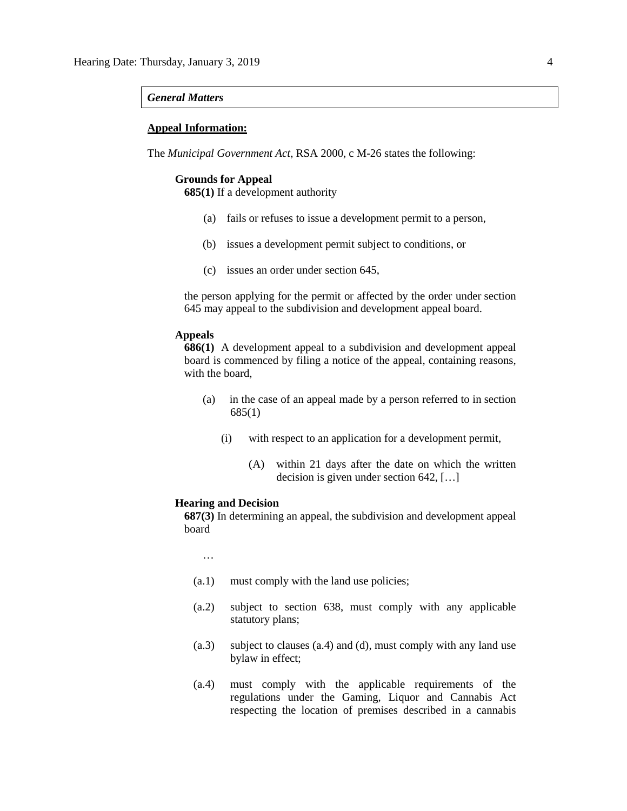### *General Matters*

## **Appeal Information:**

The *Municipal Government Act*, RSA 2000, c M-26 states the following:

# **Grounds for Appeal**

**685(1)** If a development authority

- (a) fails or refuses to issue a development permit to a person,
- (b) issues a development permit subject to conditions, or
- (c) issues an order under section 645,

the person applying for the permit or affected by the order under section 645 may appeal to the subdivision and development appeal board.

## **Appeals**

**686(1)** A development appeal to a subdivision and development appeal board is commenced by filing a notice of the appeal, containing reasons, with the board,

- (a) in the case of an appeal made by a person referred to in section 685(1)
	- (i) with respect to an application for a development permit,
		- (A) within 21 days after the date on which the written decision is given under section 642, […]

### **Hearing and Decision**

**687(3)** In determining an appeal, the subdivision and development appeal board

…

- (a.1) must comply with the land use policies;
- (a.2) subject to section 638, must comply with any applicable statutory plans;
- (a.3) subject to clauses (a.4) and (d), must comply with any land use bylaw in effect;
- (a.4) must comply with the applicable requirements of the regulations under the Gaming, Liquor and Cannabis Act respecting the location of premises described in a cannabis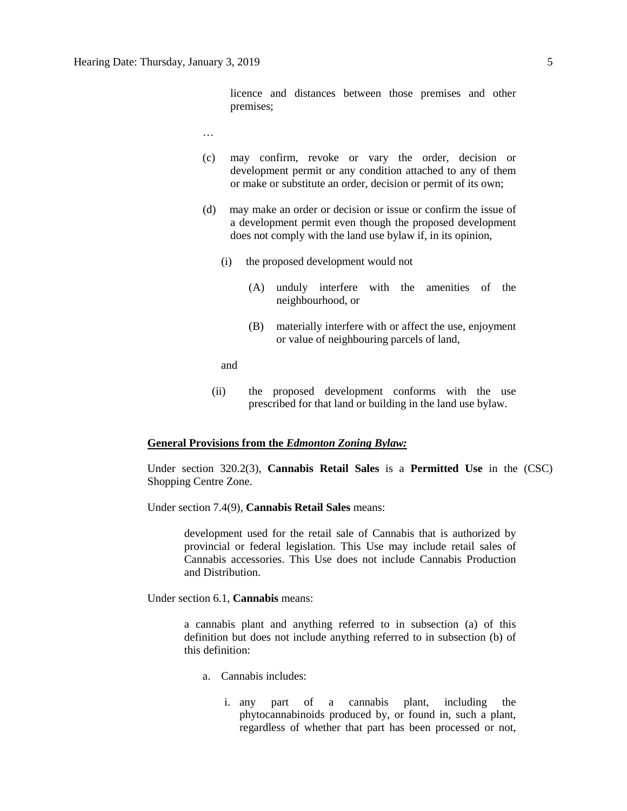licence and distances between those premises and other premises;

- …
- (c) may confirm, revoke or vary the order, decision or development permit or any condition attached to any of them or make or substitute an order, decision or permit of its own;
- (d) may make an order or decision or issue or confirm the issue of a development permit even though the proposed development does not comply with the land use bylaw if, in its opinion,
	- (i) the proposed development would not
		- (A) unduly interfere with the amenities of the neighbourhood, or
		- (B) materially interfere with or affect the use, enjoyment or value of neighbouring parcels of land,

and

(ii) the proposed development conforms with the use prescribed for that land or building in the land use bylaw.

### **General Provisions from the** *Edmonton Zoning Bylaw:*

Under section 320.2(3), **Cannabis Retail Sales** is a **Permitted Use** in the (CSC) Shopping Centre Zone.

Under section 7.4(9), **Cannabis Retail Sales** means:

development used for the retail sale of Cannabis that is authorized by provincial or federal legislation. This Use may include retail sales of Cannabis accessories. This Use does not include Cannabis Production and Distribution.

Under section 6.1, **Cannabis** means:

a cannabis plant and anything referred to in subsection (a) of this definition but does not include anything referred to in subsection (b) of this definition:

- a. Cannabis includes:
	- i. any part of a cannabis plant, including the phytocannabinoids produced by, or found in, such a plant, regardless of whether that part has been processed or not,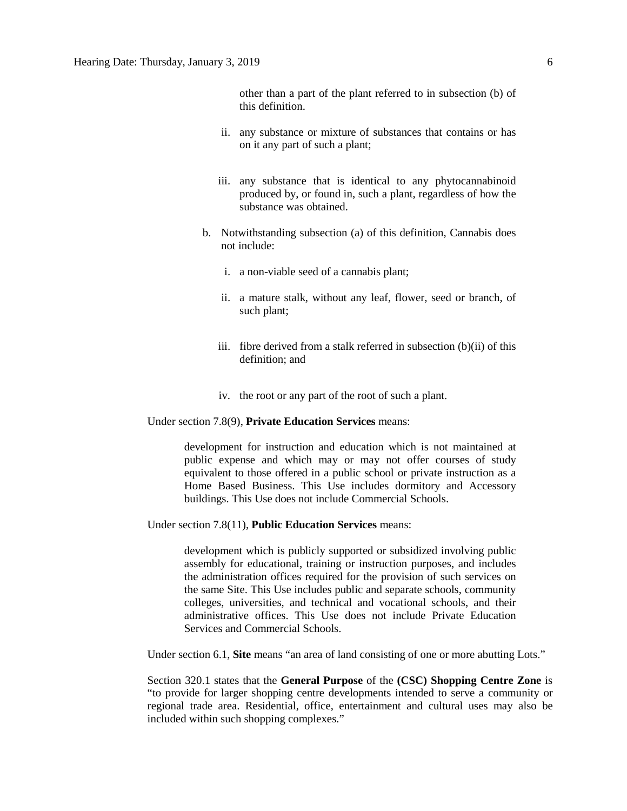other than a part of the plant referred to in subsection (b) of this definition.

- ii. any substance or mixture of substances that contains or has on it any part of such a plant;
- iii. any substance that is identical to any phytocannabinoid produced by, or found in, such a plant, regardless of how the substance was obtained.
- b. Notwithstanding subsection (a) of this definition, Cannabis does not include:
	- i. a non-viable seed of a cannabis plant;
	- ii. a mature stalk, without any leaf, flower, seed or branch, of such plant;
	- iii. fibre derived from a stalk referred in subsection (b)(ii) of this definition; and
	- iv. the root or any part of the root of such a plant.

Under section 7.8(9), **Private Education Services** means:

development for instruction and education which is not maintained at public expense and which may or may not offer courses of study equivalent to those offered in a public school or private instruction as a Home Based Business. This Use includes dormitory and Accessory buildings. This Use does not include Commercial Schools.

Under section 7.8(11), **Public Education Services** means:

development which is publicly supported or subsidized involving public assembly for educational, training or instruction purposes, and includes the administration offices required for the provision of such services on the same Site. This Use includes public and separate schools, community colleges, universities, and technical and vocational schools, and their administrative offices. This Use does not include Private Education Services and Commercial Schools.

Under section 6.1, **Site** means "an area of land consisting of one or more abutting Lots."

Section 320.1 states that the **General Purpose** of the **(CSC) Shopping Centre Zone** is "to provide for larger shopping centre developments intended to serve a community or regional trade area. Residential, office, entertainment and cultural uses may also be included within such shopping complexes."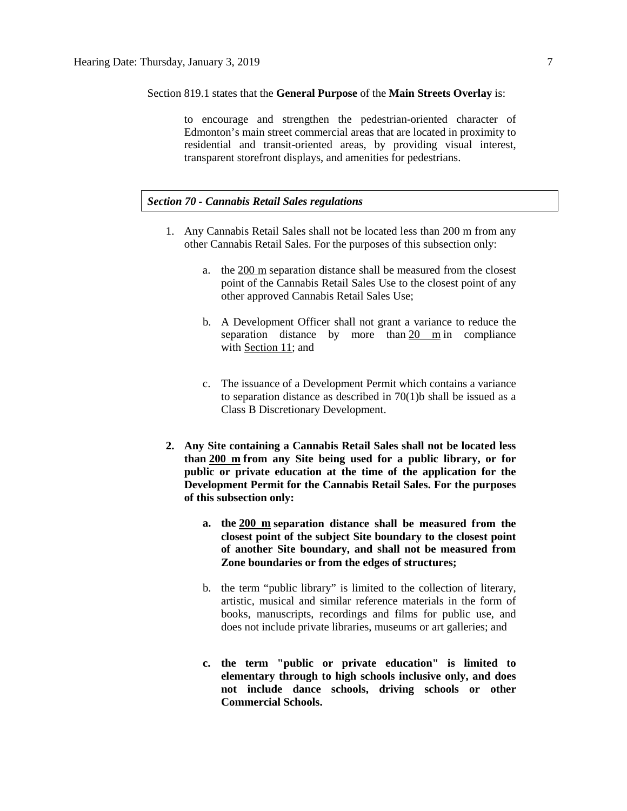Section 819.1 states that the **General Purpose** of the **Main Streets Overlay** is:

to encourage and strengthen the pedestrian-oriented character of Edmonton's main street commercial areas that are located in proximity to residential and transit-oriented areas, by providing visual interest, transparent storefront displays, and amenities for pedestrians.

## *Section 70 - Cannabis Retail Sales regulations*

- 1. Any Cannabis Retail Sales shall not be located less than 200 m from any other Cannabis Retail Sales. For the purposes of this subsection only:
	- a. the [200 m](javascript:void(0);) separation distance shall be measured from the closest point of the Cannabis Retail Sales Use to the closest point of any other approved Cannabis Retail Sales Use;
	- b. A Development Officer shall not grant a variance to reduce the separation distance by more than [20 m](javascript:void(0);) in compliance with [Section 11;](https://webdocs.edmonton.ca/InfraPlan/zoningbylaw/ZoningBylaw/Part1/Administrative/11__Authority_and_Responsibility_of_the_Development_Officer.htm) and
	- c. The issuance of a Development Permit which contains a variance to separation distance as described in 70(1)b shall be issued as a Class B Discretionary Development.
- **2. Any Site containing a Cannabis Retail Sales shall not be located less than [200 m](javascript:void(0);) from any Site being used for a public library, or for public or private education at the time of the application for the Development Permit for the Cannabis Retail Sales. For the purposes of this subsection only:**
	- **a. the [200 m](javascript:void(0);) separation distance shall be measured from the closest point of the subject Site boundary to the closest point of another Site boundary, and shall not be measured from Zone boundaries or from the edges of structures;**
	- b. the term "public library" is limited to the collection of literary, artistic, musical and similar reference materials in the form of books, manuscripts, recordings and films for public use, and does not include private libraries, museums or art galleries; and
	- **c. the term "public or private education" is limited to elementary through to high schools inclusive only, and does not include dance schools, driving schools or other Commercial Schools.**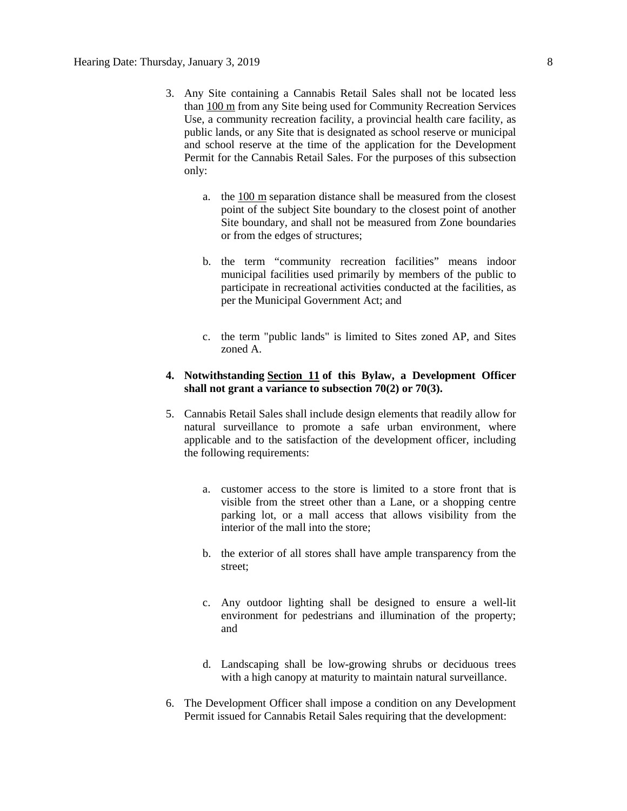- 3. Any Site containing a Cannabis Retail Sales shall not be located less than [100 m](javascript:void(0);) from any Site being used for Community Recreation Services Use, a community recreation facility, a provincial health care facility, as public lands, or any Site that is designated as school reserve or municipal and school reserve at the time of the application for the Development Permit for the Cannabis Retail Sales. For the purposes of this subsection only:
	- a. the [100 m](javascript:void(0);) separation distance shall be measured from the closest point of the subject Site boundary to the closest point of another Site boundary, and shall not be measured from Zone boundaries or from the edges of structures;
	- b. the term "community recreation facilities" means indoor municipal facilities used primarily by members of the public to participate in recreational activities conducted at the facilities, as per the Municipal Government Act; and
	- c. the term "public lands" is limited to Sites zoned AP, and Sites zoned A.
- **4. Notwithstanding [Section 11](https://webdocs.edmonton.ca/InfraPlan/zoningbylaw/ZoningBylaw/Part1/Administrative/11__Authority_and_Responsibility_of_the_Development_Officer.htm) of this Bylaw, a Development Officer shall not grant a variance to subsection 70(2) or 70(3).**
- 5. Cannabis Retail Sales shall include design elements that readily allow for natural surveillance to promote a safe urban environment, where applicable and to the satisfaction of the development officer, including the following requirements:
	- a. customer access to the store is limited to a store front that is visible from the street other than a Lane, or a shopping centre parking lot, or a mall access that allows visibility from the interior of the mall into the store;
	- b. the exterior of all stores shall have ample transparency from the street;
	- c. Any outdoor lighting shall be designed to ensure a well-lit environment for pedestrians and illumination of the property; and
	- d. Landscaping shall be low-growing shrubs or deciduous trees with a high canopy at maturity to maintain natural surveillance.
- 6. The Development Officer shall impose a condition on any Development Permit issued for Cannabis Retail Sales requiring that the development: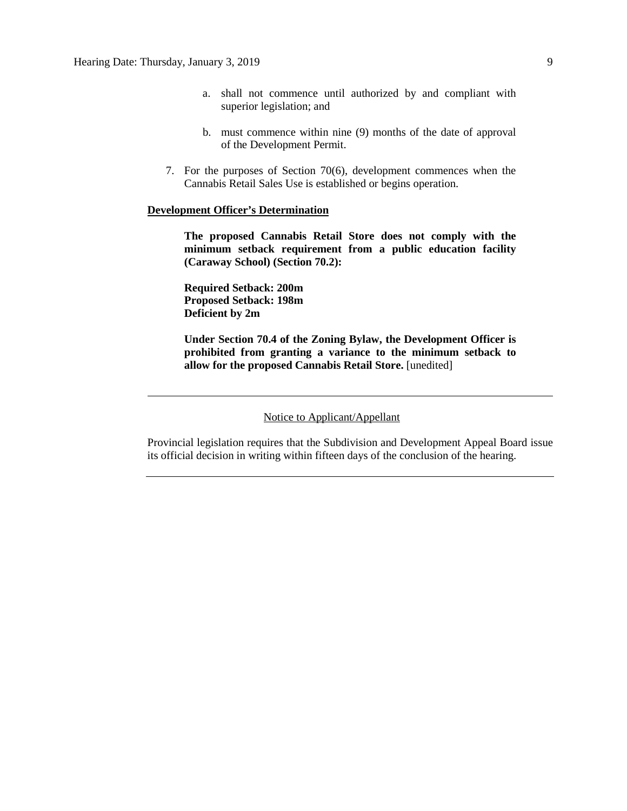- a. shall not commence until authorized by and compliant with superior legislation; and
- b. must commence within nine (9) months of the date of approval of the Development Permit.
- 7. For the purposes of Section 70(6), development commences when the Cannabis Retail Sales Use is established or begins operation.

# **Development Officer's Determination**

**The proposed Cannabis Retail Store does not comply with the minimum setback requirement from a public education facility (Caraway School) (Section 70.2):**

**Required Setback: 200m Proposed Setback: 198m Deficient by 2m**

**Under Section 70.4 of the Zoning Bylaw, the Development Officer is prohibited from granting a variance to the minimum setback to allow for the proposed Cannabis Retail Store.** [unedited]

Notice to Applicant/Appellant

Provincial legislation requires that the Subdivision and Development Appeal Board issue its official decision in writing within fifteen days of the conclusion of the hearing.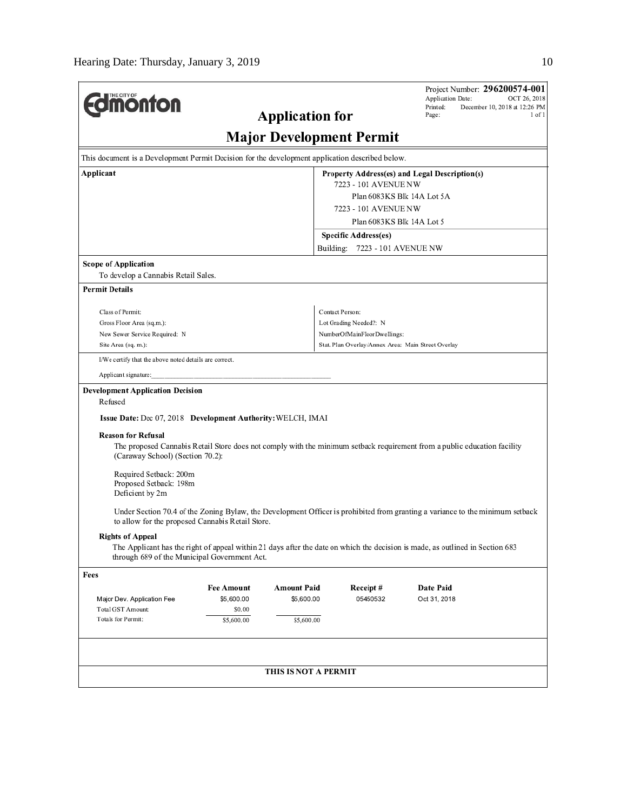| THE CITY OF<br><b>ionton</b><br><b>Application for</b>                                                                                                                            | Project Number: 296200574-001<br>Application Date:<br>OCT 26, 2018<br>Printed:<br>December 10, 2018 at 12:26 PM<br>Page:<br>$1$ of $1$ |  |  |  |  |
|-----------------------------------------------------------------------------------------------------------------------------------------------------------------------------------|----------------------------------------------------------------------------------------------------------------------------------------|--|--|--|--|
| <b>Major Development Permit</b>                                                                                                                                                   |                                                                                                                                        |  |  |  |  |
| This document is a Development Permit Decision for the development application described below.                                                                                   |                                                                                                                                        |  |  |  |  |
| Applicant<br>Property Address(es) and Legal Description(s)                                                                                                                        |                                                                                                                                        |  |  |  |  |
| 7223 - 101 AVENUE NW<br>Plan 6083KS Blk 14A Lot 5A                                                                                                                                |                                                                                                                                        |  |  |  |  |
|                                                                                                                                                                                   | 7223 - 101 AVENUE NW                                                                                                                   |  |  |  |  |
|                                                                                                                                                                                   | Plan 6083KS Blk 14A Lot 5                                                                                                              |  |  |  |  |
|                                                                                                                                                                                   | Specific Address(es)                                                                                                                   |  |  |  |  |
|                                                                                                                                                                                   | Building: 7223 - 101 AVENUE NW                                                                                                         |  |  |  |  |
| <b>Scope of Application</b>                                                                                                                                                       |                                                                                                                                        |  |  |  |  |
| To develop a Cannabis Retail Sales.                                                                                                                                               |                                                                                                                                        |  |  |  |  |
| <b>Permit Details</b>                                                                                                                                                             |                                                                                                                                        |  |  |  |  |
| Class of Permit:                                                                                                                                                                  | Contact Person:                                                                                                                        |  |  |  |  |
| Gross Floor Area (sq.m.):                                                                                                                                                         | Lot Grading Needed?: N                                                                                                                 |  |  |  |  |
| New Sewer Service Required: N                                                                                                                                                     | NumberOfMainFloorDwellings:                                                                                                            |  |  |  |  |
| Site Area (sq. m.):                                                                                                                                                               | Stat. Plan Overlay/Annex Area: Main Street Overlay                                                                                     |  |  |  |  |
| I/We certify that the above noted details are correct.                                                                                                                            |                                                                                                                                        |  |  |  |  |
| Applicant signature:                                                                                                                                                              |                                                                                                                                        |  |  |  |  |
| <b>Development Application Decision</b><br>Refused                                                                                                                                |                                                                                                                                        |  |  |  |  |
| Issue Date: Dec 07, 2018 Development Authority: WELCH, IMAI                                                                                                                       |                                                                                                                                        |  |  |  |  |
| <b>Reason for Refusal</b>                                                                                                                                                         |                                                                                                                                        |  |  |  |  |
| (Caraway School) (Section 70.2):                                                                                                                                                  | The proposed Cannabis Retail Store does not comply with the minimum setback requirement from a public education facility               |  |  |  |  |
| Required Setback: 200m<br>Proposed Setback: 198m<br>Deficient by 2m                                                                                                               |                                                                                                                                        |  |  |  |  |
| Under Section 70.4 of the Zoning Bylaw, the Development Officer is prohibited from granting a variance to the minimum setback<br>to allow for the proposed Cannabis Retail Store. |                                                                                                                                        |  |  |  |  |
| <b>Rights of Appeal</b>                                                                                                                                                           |                                                                                                                                        |  |  |  |  |
| The Applicant has the right of appeal within 21 days after the date on which the decision is made, as outlined in Section 683<br>through 689 of the Municipal Government Act.     |                                                                                                                                        |  |  |  |  |
| Fees                                                                                                                                                                              |                                                                                                                                        |  |  |  |  |
| <b>Amount Paid</b><br><b>Fee Amount</b>                                                                                                                                           | Receipt#<br>Date Paid                                                                                                                  |  |  |  |  |
| \$5,600.00<br>\$5,600.00<br>Major Dev. Application Fee                                                                                                                            | 05450532<br>Oct 31, 2018                                                                                                               |  |  |  |  |
| Total GST Amount:<br>\$0.00<br>Totals for Permit:<br>\$5,600.00<br>\$5,600.00                                                                                                     |                                                                                                                                        |  |  |  |  |
|                                                                                                                                                                                   |                                                                                                                                        |  |  |  |  |
| THIS IS NOT A PERMIT                                                                                                                                                              |                                                                                                                                        |  |  |  |  |
|                                                                                                                                                                                   |                                                                                                                                        |  |  |  |  |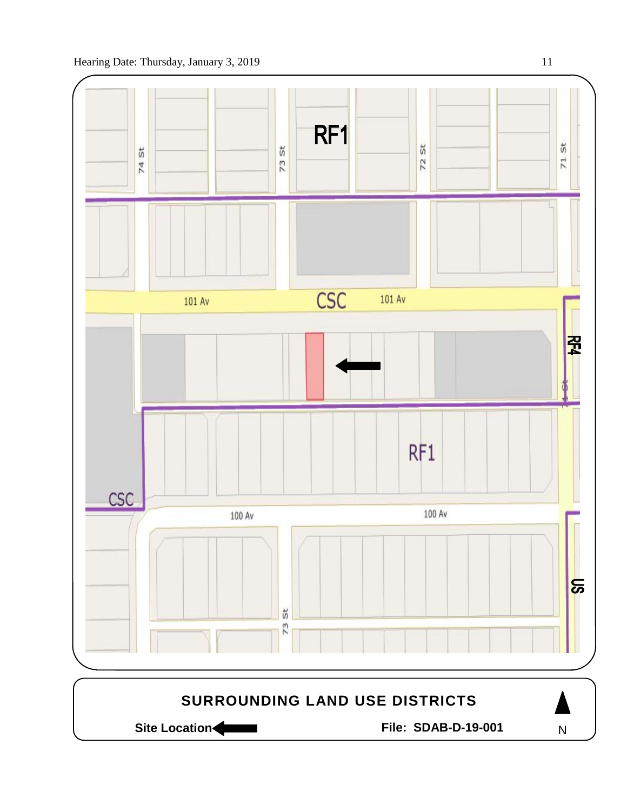

Site Location **Community Contracts** File: SDAB-D-19-001

N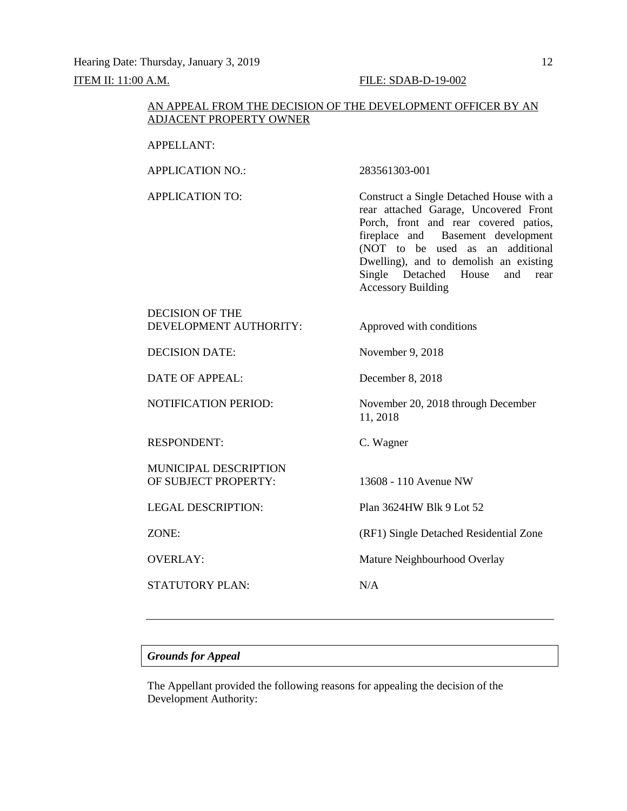# AN APPEAL FROM THE DECISION OF THE DEVELOPMENT OFFICER BY AN ADJACENT PROPERTY OWNER

# APPELLANT:

APPLICATION NO.: 283561303-001

APPLICATION TO: Construct a Single Detached House with a rear attached Garage, Uncovered Front Porch, front and rear covered patios, fireplace and Basement development (NOT to be used as an additional Dwelling), and to demolish an existing Single Detached House and rear Accessory Building

# DECISION OF THE DEVELOPMENT AUTHORITY: Approved with conditions

DECISION DATE: November 9, 2018

DATE OF APPEAL: December 8, 2018

RESPONDENT: C. Wagner

MUNICIPAL DESCRIPTION OF SUBJECT PROPERTY: 13608 - 110 Avenue NW

STATUTORY PLAN: N/A

NOTIFICATION PERIOD: November 20, 2018 through December 11, 2018

LEGAL DESCRIPTION: Plan 3624HW Blk 9 Lot 52

ZONE: (RF1) Single Detached Residential Zone

OVERLAY: Mature Neighbourhood Overlay

# *Grounds for Appeal*

The Appellant provided the following reasons for appealing the decision of the Development Authority: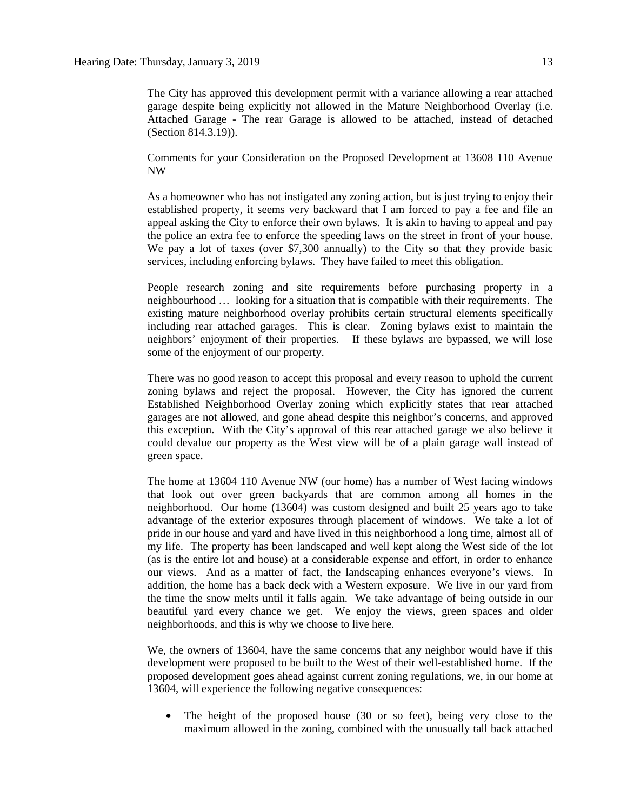# Comments for your Consideration on the Proposed Development at 13608 110 Avenue NW

As a homeowner who has not instigated any zoning action, but is just trying to enjoy their established property, it seems very backward that I am forced to pay a fee and file an appeal asking the City to enforce their own bylaws. It is akin to having to appeal and pay the police an extra fee to enforce the speeding laws on the street in front of your house. We pay a lot of taxes (over \$7,300 annually) to the City so that they provide basic services, including enforcing bylaws. They have failed to meet this obligation.

People research zoning and site requirements before purchasing property in a neighbourhood … looking for a situation that is compatible with their requirements. The existing mature neighborhood overlay prohibits certain structural elements specifically including rear attached garages. This is clear. Zoning bylaws exist to maintain the neighbors' enjoyment of their properties. If these bylaws are bypassed, we will lose some of the enjoyment of our property.

There was no good reason to accept this proposal and every reason to uphold the current zoning bylaws and reject the proposal. However, the City has ignored the current Established Neighborhood Overlay zoning which explicitly states that rear attached garages are not allowed, and gone ahead despite this neighbor's concerns, and approved this exception. With the City's approval of this rear attached garage we also believe it could devalue our property as the West view will be of a plain garage wall instead of green space.

The home at 13604 110 Avenue NW (our home) has a number of West facing windows that look out over green backyards that are common among all homes in the neighborhood. Our home (13604) was custom designed and built 25 years ago to take advantage of the exterior exposures through placement of windows. We take a lot of pride in our house and yard and have lived in this neighborhood a long time, almost all of my life. The property has been landscaped and well kept along the West side of the lot (as is the entire lot and house) at a considerable expense and effort, in order to enhance our views. And as a matter of fact, the landscaping enhances everyone's views. In addition, the home has a back deck with a Western exposure. We live in our yard from the time the snow melts until it falls again. We take advantage of being outside in our beautiful yard every chance we get. We enjoy the views, green spaces and older neighborhoods, and this is why we choose to live here.

We, the owners of 13604, have the same concerns that any neighbor would have if this development were proposed to be built to the West of their well-established home. If the proposed development goes ahead against current zoning regulations, we, in our home at 13604, will experience the following negative consequences:

The height of the proposed house (30 or so feet), being very close to the maximum allowed in the zoning, combined with the unusually tall back attached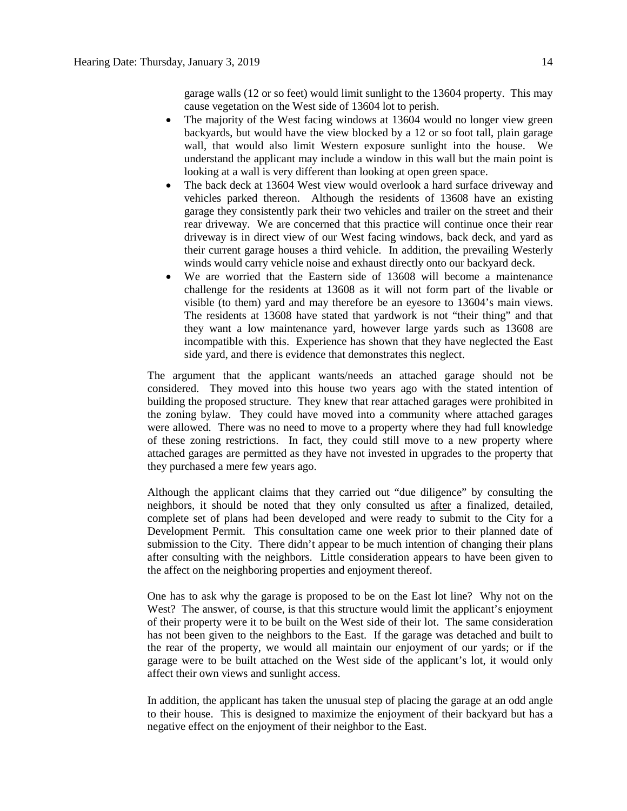garage walls (12 or so feet) would limit sunlight to the 13604 property. This may cause vegetation on the West side of 13604 lot to perish.

- The majority of the West facing windows at 13604 would no longer view green backyards, but would have the view blocked by a 12 or so foot tall, plain garage wall, that would also limit Western exposure sunlight into the house. We understand the applicant may include a window in this wall but the main point is looking at a wall is very different than looking at open green space.
- The back deck at 13604 West view would overlook a hard surface driveway and vehicles parked thereon. Although the residents of 13608 have an existing garage they consistently park their two vehicles and trailer on the street and their rear driveway. We are concerned that this practice will continue once their rear driveway is in direct view of our West facing windows, back deck, and yard as their current garage houses a third vehicle. In addition, the prevailing Westerly winds would carry vehicle noise and exhaust directly onto our backyard deck.
- We are worried that the Eastern side of 13608 will become a maintenance challenge for the residents at 13608 as it will not form part of the livable or visible (to them) yard and may therefore be an eyesore to 13604's main views. The residents at 13608 have stated that yardwork is not "their thing" and that they want a low maintenance yard, however large yards such as 13608 are incompatible with this. Experience has shown that they have neglected the East side yard, and there is evidence that demonstrates this neglect.

The argument that the applicant wants/needs an attached garage should not be considered. They moved into this house two years ago with the stated intention of building the proposed structure. They knew that rear attached garages were prohibited in the zoning bylaw. They could have moved into a community where attached garages were allowed. There was no need to move to a property where they had full knowledge of these zoning restrictions. In fact, they could still move to a new property where attached garages are permitted as they have not invested in upgrades to the property that they purchased a mere few years ago.

Although the applicant claims that they carried out "due diligence" by consulting the neighbors, it should be noted that they only consulted us after a finalized, detailed, complete set of plans had been developed and were ready to submit to the City for a Development Permit. This consultation came one week prior to their planned date of submission to the City. There didn't appear to be much intention of changing their plans after consulting with the neighbors. Little consideration appears to have been given to the affect on the neighboring properties and enjoyment thereof.

One has to ask why the garage is proposed to be on the East lot line? Why not on the West? The answer, of course, is that this structure would limit the applicant's enjoyment of their property were it to be built on the West side of their lot. The same consideration has not been given to the neighbors to the East. If the garage was detached and built to the rear of the property, we would all maintain our enjoyment of our yards; or if the garage were to be built attached on the West side of the applicant's lot, it would only affect their own views and sunlight access.

In addition, the applicant has taken the unusual step of placing the garage at an odd angle to their house. This is designed to maximize the enjoyment of their backyard but has a negative effect on the enjoyment of their neighbor to the East.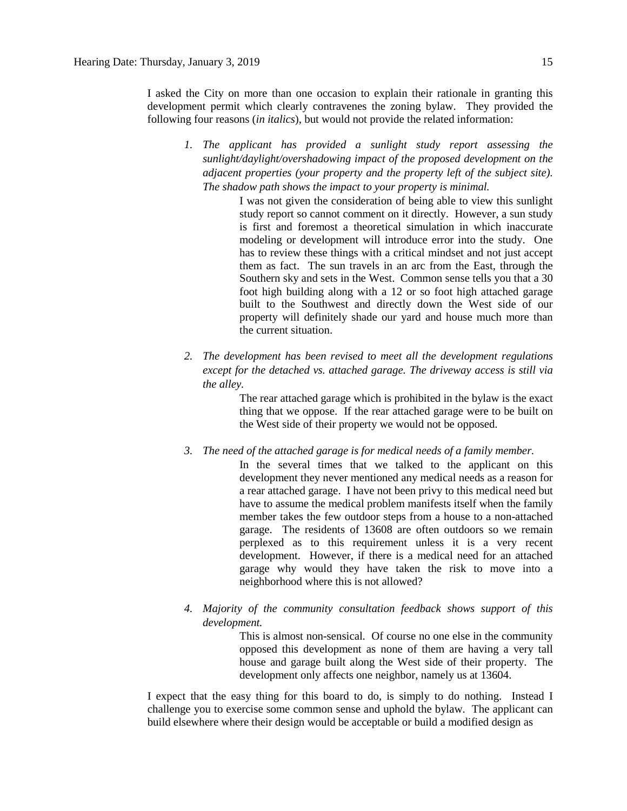I asked the City on more than one occasion to explain their rationale in granting this development permit which clearly contravenes the zoning bylaw. They provided the following four reasons (*in italics*), but would not provide the related information:

*1. The applicant has provided a sunlight study report assessing the sunlight/daylight/overshadowing impact of the proposed development on the adjacent properties (your property and the property left of the subject site). The shadow path shows the impact to your property is minimal.*

> I was not given the consideration of being able to view this sunlight study report so cannot comment on it directly. However, a sun study is first and foremost a theoretical simulation in which inaccurate modeling or development will introduce error into the study. One has to review these things with a critical mindset and not just accept them as fact. The sun travels in an arc from the East, through the Southern sky and sets in the West. Common sense tells you that a 30 foot high building along with a 12 or so foot high attached garage built to the Southwest and directly down the West side of our property will definitely shade our yard and house much more than the current situation.

*2. The development has been revised to meet all the development regulations except for the detached vs. attached garage. The driveway access is still via the alley.*

> The rear attached garage which is prohibited in the bylaw is the exact thing that we oppose. If the rear attached garage were to be built on the West side of their property we would not be opposed.

- *3. The need of the attached garage is for medical needs of a family member.*
	- In the several times that we talked to the applicant on this development they never mentioned any medical needs as a reason for a rear attached garage. I have not been privy to this medical need but have to assume the medical problem manifests itself when the family member takes the few outdoor steps from a house to a non-attached garage. The residents of 13608 are often outdoors so we remain perplexed as to this requirement unless it is a very recent development. However, if there is a medical need for an attached garage why would they have taken the risk to move into a neighborhood where this is not allowed?
- *4. Majority of the community consultation feedback shows support of this development.*

This is almost non-sensical. Of course no one else in the community opposed this development as none of them are having a very tall house and garage built along the West side of their property. The development only affects one neighbor, namely us at 13604.

I expect that the easy thing for this board to do, is simply to do nothing. Instead I challenge you to exercise some common sense and uphold the bylaw. The applicant can build elsewhere where their design would be acceptable or build a modified design as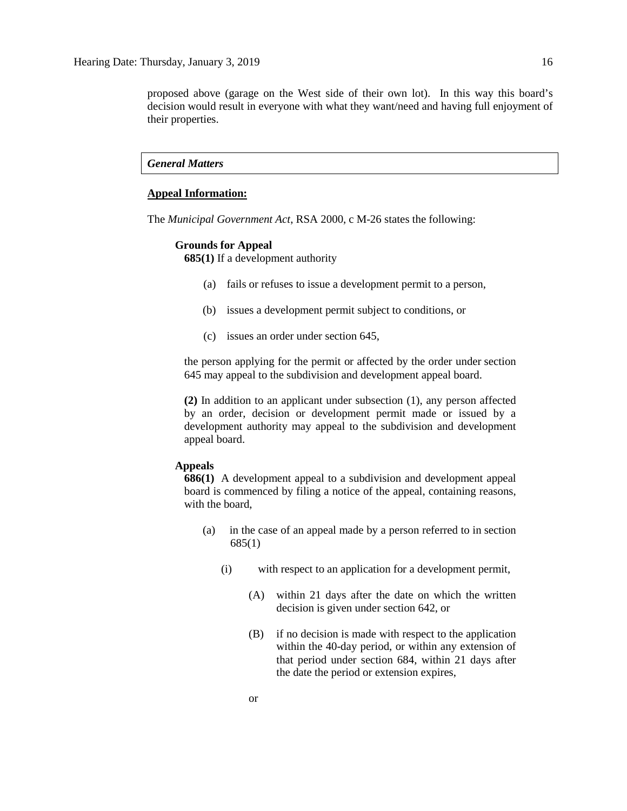proposed above (garage on the West side of their own lot). In this way this board's decision would result in everyone with what they want/need and having full enjoyment of their properties.

# *General Matters*

# **Appeal Information:**

The *Municipal Government Act*, RSA 2000, c M-26 states the following:

### **Grounds for Appeal**

**685(1)** If a development authority

- (a) fails or refuses to issue a development permit to a person,
- (b) issues a development permit subject to conditions, or
- (c) issues an order under section 645,

the person applying for the permit or affected by the order under section 645 may appeal to the subdivision and development appeal board.

**(2)** In addition to an applicant under subsection (1), any person affected by an order, decision or development permit made or issued by a development authority may appeal to the subdivision and development appeal board.

# **Appeals**

**686(1)** A development appeal to a subdivision and development appeal board is commenced by filing a notice of the appeal, containing reasons, with the board,

- (a) in the case of an appeal made by a person referred to in section 685(1)
	- (i) with respect to an application for a development permit,
		- (A) within 21 days after the date on which the written decision is given under section 642, or
		- (B) if no decision is made with respect to the application within the 40-day period, or within any extension of that period under section 684, within 21 days after the date the period or extension expires,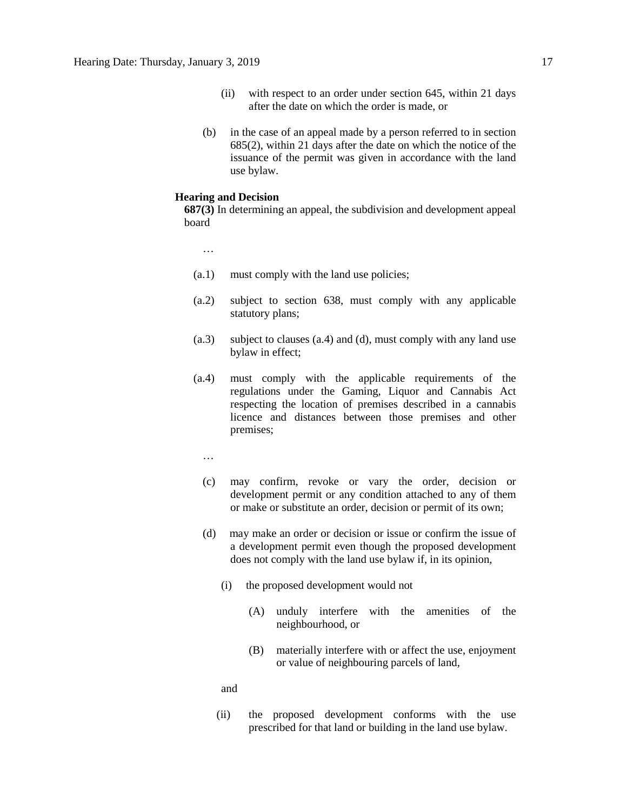- (ii) with respect to an order under section 645, within 21 days after the date on which the order is made, or
- (b) in the case of an appeal made by a person referred to in section 685(2), within 21 days after the date on which the notice of the issuance of the permit was given in accordance with the land use bylaw.

### **Hearing and Decision**

**687(3)** In determining an appeal, the subdivision and development appeal board

…

- (a.1) must comply with the land use policies;
- (a.2) subject to section 638, must comply with any applicable statutory plans;
- (a.3) subject to clauses (a.4) and (d), must comply with any land use bylaw in effect;
- (a.4) must comply with the applicable requirements of the regulations under the Gaming, Liquor and Cannabis Act respecting the location of premises described in a cannabis licence and distances between those premises and other premises;
	- …
	- (c) may confirm, revoke or vary the order, decision or development permit or any condition attached to any of them or make or substitute an order, decision or permit of its own;
	- (d) may make an order or decision or issue or confirm the issue of a development permit even though the proposed development does not comply with the land use bylaw if, in its opinion,
		- (i) the proposed development would not
			- (A) unduly interfere with the amenities of the neighbourhood, or
			- (B) materially interfere with or affect the use, enjoyment or value of neighbouring parcels of land,

and

(ii) the proposed development conforms with the use prescribed for that land or building in the land use bylaw.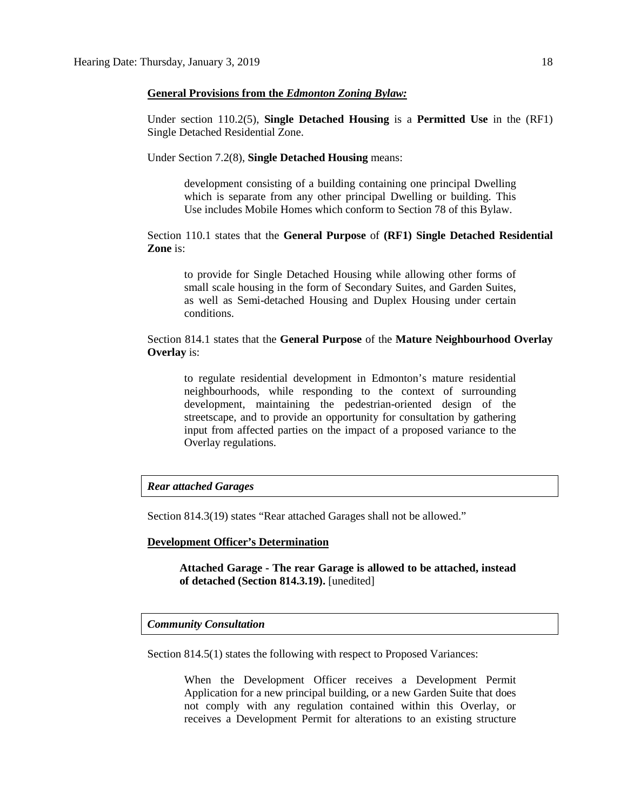## **General Provisions from the** *Edmonton Zoning Bylaw:*

Under section 110.2(5), **Single Detached Housing** is a **Permitted Use** in the (RF1) Single Detached Residential Zone.

Under Section 7.2(8), **Single Detached Housing** means:

development consisting of a building containing one principal Dwelling which is separate from any other principal Dwelling or building. This Use includes Mobile Homes which conform to Section 78 of this Bylaw.

Section 110.1 states that the **General Purpose** of **(RF1) Single Detached Residential Zone** is:

to provide for Single Detached Housing while allowing other forms of small scale housing in the form of Secondary Suites, and Garden Suites, as well as Semi-detached Housing and Duplex Housing under certain conditions.

Section 814.1 states that the **General Purpose** of the **Mature Neighbourhood Overlay Overlay** is:

to regulate residential development in Edmonton's mature residential neighbourhoods, while responding to the context of surrounding development, maintaining the pedestrian-oriented design of the streetscape, and to provide an opportunity for consultation by gathering input from affected parties on the impact of a proposed variance to the Overlay regulations.

## *Rear attached Garages*

Section 814.3(19) states "Rear attached Garages shall not be allowed."

### **Development Officer's Determination**

**Attached Garage - The rear Garage is allowed to be attached, instead of detached (Section 814.3.19).** [unedited]

# *Community Consultation*

Section 814.5(1) states the following with respect to Proposed Variances:

When the Development Officer receives a Development Permit Application for a new principal building, or a new Garden Suite that does not comply with any regulation contained within this Overlay, or receives a Development Permit for alterations to an existing structure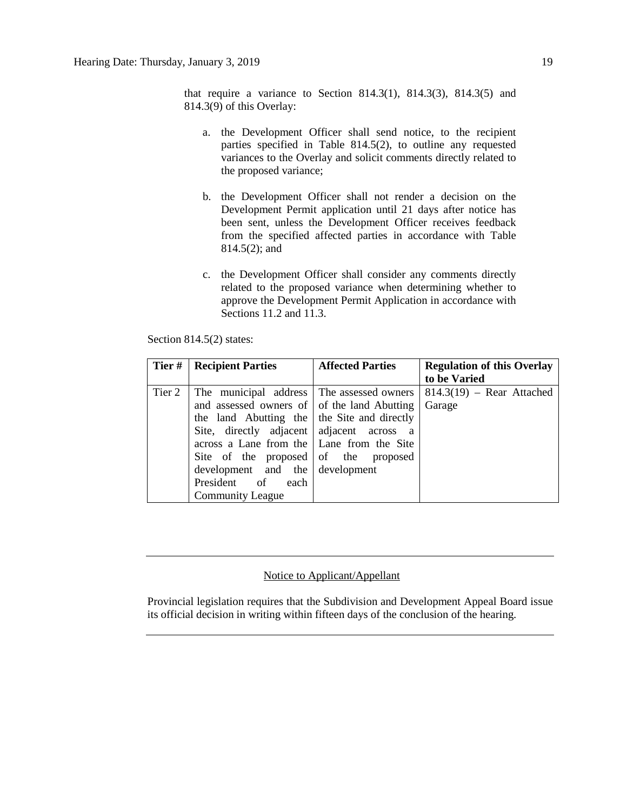that require a variance to Section 814.3(1), 814.3(3), 814.3(5) and 814.3(9) of this Overlay:

- a. the Development Officer shall send notice, to the recipient parties specified in Table 814.5(2), to outline any requested variances to the Overlay and solicit comments directly related to the proposed variance;
- b. the Development Officer shall not render a decision on the Development Permit application until 21 days after notice has been sent, unless the Development Officer receives feedback from the specified affected parties in accordance with Table 814.5(2); and
- c. the Development Officer shall consider any comments directly related to the proposed variance when determining whether to approve the Development Permit Application in accordance with Sections 11.2 and 11.3.

| Tier#  | <b>Recipient Parties</b>                    | <b>Affected Parties</b> | <b>Regulation of this Overlay</b> |
|--------|---------------------------------------------|-------------------------|-----------------------------------|
|        |                                             |                         | to be Varied                      |
| Tier 2 | The municipal address The assessed owners   |                         | $814.3(19)$ – Rear Attached       |
|        | and assessed owners of of the land Abutting |                         | Garage                            |
|        | the land Abutting the the Site and directly |                         |                                   |
|        | Site, directly adjacent adjacent across a   |                         |                                   |
|        | across a Lane from the Lane from the Site   |                         |                                   |
|        | Site of the proposed of the proposed        |                         |                                   |
|        | development and the development             |                         |                                   |
|        | President of each                           |                         |                                   |
|        | <b>Community League</b>                     |                         |                                   |

Section 814.5(2) states:

# Notice to Applicant/Appellant

Provincial legislation requires that the Subdivision and Development Appeal Board issue its official decision in writing within fifteen days of the conclusion of the hearing.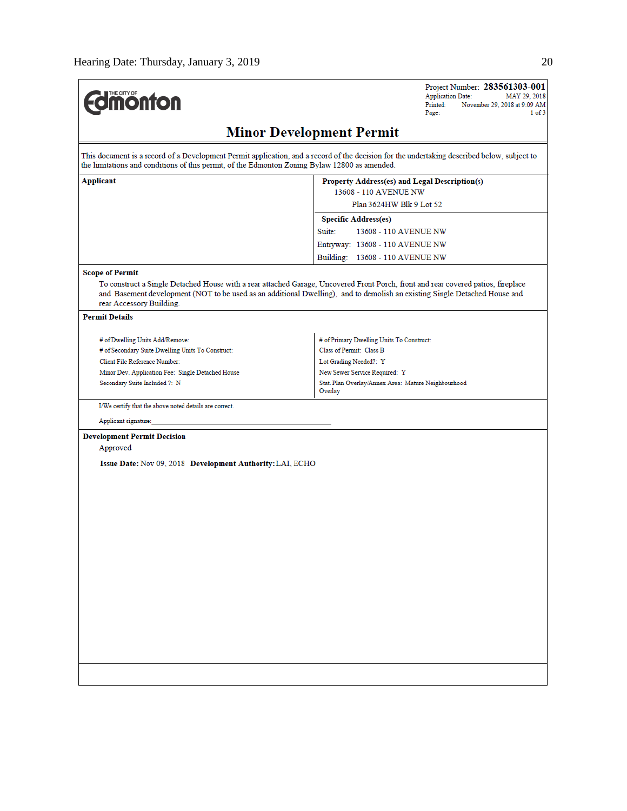| <b>Umonton</b>                                                                                | $1$ of $3$<br>Page:                                                                                                                                                                                                                                             |  |  |  |
|-----------------------------------------------------------------------------------------------|-----------------------------------------------------------------------------------------------------------------------------------------------------------------------------------------------------------------------------------------------------------------|--|--|--|
|                                                                                               | <b>Minor Development Permit</b>                                                                                                                                                                                                                                 |  |  |  |
| the limitations and conditions of this permit, of the Edmonton Zoning Bylaw 12800 as amended. | This document is a record of a Development Permit application, and a record of the decision for the undertaking described below, subject to                                                                                                                     |  |  |  |
| Applicant                                                                                     | Property Address(es) and Legal Description(s)<br>13608 - 110 AVENUE NW<br>Plan 3624HW Blk 9 Lot 52                                                                                                                                                              |  |  |  |
|                                                                                               | <b>Specific Address(es)</b>                                                                                                                                                                                                                                     |  |  |  |
|                                                                                               | Suite:<br>13608 - 110 AVENUE NW                                                                                                                                                                                                                                 |  |  |  |
|                                                                                               | Entryway: 13608 - 110 AVENUE NW                                                                                                                                                                                                                                 |  |  |  |
|                                                                                               | Building: 13608 - 110 AVENUE NW                                                                                                                                                                                                                                 |  |  |  |
| <b>Scope of Permit</b>                                                                        |                                                                                                                                                                                                                                                                 |  |  |  |
| rear Accessory Building.                                                                      | To construct a Single Detached House with a rear attached Garage, Uncovered Front Porch, front and rear covered patios, fireplace<br>and Basement development (NOT to be used as an additional Dwelling), and to demolish an existing Single Detached House and |  |  |  |
| <b>Permit Details</b>                                                                         |                                                                                                                                                                                                                                                                 |  |  |  |
| # of Dwelling Units Add/Remove:                                                               | # of Primary Dwelling Units To Construct:                                                                                                                                                                                                                       |  |  |  |
| # of Secondary Suite Dwelling Units To Construct:                                             | Class of Permit: Class B                                                                                                                                                                                                                                        |  |  |  |
| Client File Reference Number:                                                                 | Lot Grading Needed?: Y                                                                                                                                                                                                                                          |  |  |  |
| Minor Dev. Application Fee: Single Detached House                                             | New Sewer Service Required: Y                                                                                                                                                                                                                                   |  |  |  |
| Secondary Suite Included ?: N                                                                 | Stat. Plan Overlay/Annex Area: Mature Neighbourhood<br>Overlay                                                                                                                                                                                                  |  |  |  |
| I/We certify that the above noted details are correct.                                        |                                                                                                                                                                                                                                                                 |  |  |  |
| Applicant signature:                                                                          |                                                                                                                                                                                                                                                                 |  |  |  |
| <b>Development Permit Decision</b><br>Approved                                                |                                                                                                                                                                                                                                                                 |  |  |  |
| Issue Date: Nov 09, 2018 Development Authority: LAI, ECHO                                     |                                                                                                                                                                                                                                                                 |  |  |  |
|                                                                                               |                                                                                                                                                                                                                                                                 |  |  |  |
|                                                                                               |                                                                                                                                                                                                                                                                 |  |  |  |
|                                                                                               |                                                                                                                                                                                                                                                                 |  |  |  |
|                                                                                               |                                                                                                                                                                                                                                                                 |  |  |  |
|                                                                                               |                                                                                                                                                                                                                                                                 |  |  |  |
|                                                                                               |                                                                                                                                                                                                                                                                 |  |  |  |
|                                                                                               |                                                                                                                                                                                                                                                                 |  |  |  |
|                                                                                               |                                                                                                                                                                                                                                                                 |  |  |  |
|                                                                                               |                                                                                                                                                                                                                                                                 |  |  |  |
|                                                                                               |                                                                                                                                                                                                                                                                 |  |  |  |
|                                                                                               |                                                                                                                                                                                                                                                                 |  |  |  |
|                                                                                               |                                                                                                                                                                                                                                                                 |  |  |  |
|                                                                                               |                                                                                                                                                                                                                                                                 |  |  |  |
|                                                                                               |                                                                                                                                                                                                                                                                 |  |  |  |
|                                                                                               |                                                                                                                                                                                                                                                                 |  |  |  |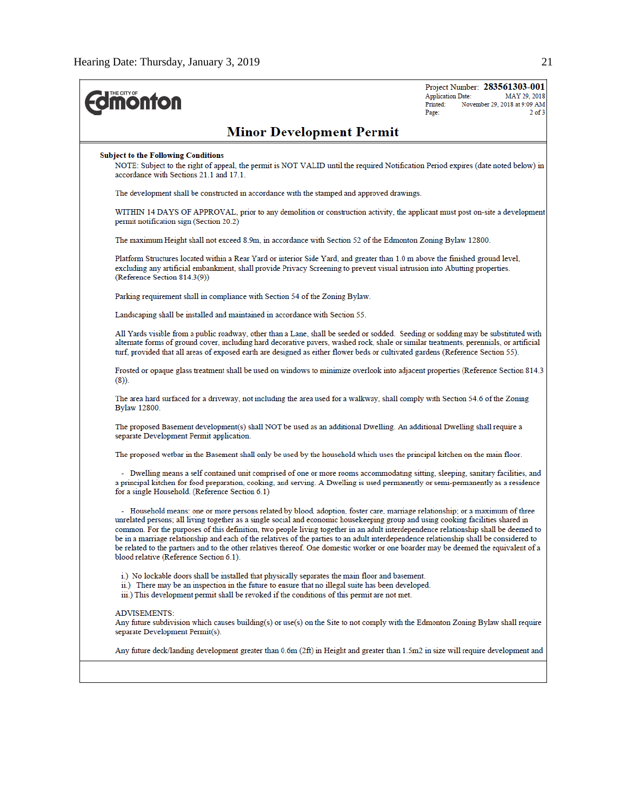| THE CITY OF<br><b>ionfon</b>                                                                                                                                                                                                                                                                                                                                                                                                                                                                                                                                                                                                                                                                                                        | Project Number: 283561303-001<br><b>Application Date:</b><br>MAY 29, 2018<br>Printed:<br>November 29, 2018 at 9:09 AM<br>Page:<br>$2$ of $3$ |
|-------------------------------------------------------------------------------------------------------------------------------------------------------------------------------------------------------------------------------------------------------------------------------------------------------------------------------------------------------------------------------------------------------------------------------------------------------------------------------------------------------------------------------------------------------------------------------------------------------------------------------------------------------------------------------------------------------------------------------------|----------------------------------------------------------------------------------------------------------------------------------------------|
| <b>Minor Development Permit</b>                                                                                                                                                                                                                                                                                                                                                                                                                                                                                                                                                                                                                                                                                                     |                                                                                                                                              |
| <b>Subject to the Following Conditions</b><br>NOTE: Subject to the right of appeal, the permit is NOT VALID until the required Notification Period expires (date noted below) in<br>accordance with Sections 21.1 and 17.1.                                                                                                                                                                                                                                                                                                                                                                                                                                                                                                         |                                                                                                                                              |
| The development shall be constructed in accordance with the stamped and approved drawings.                                                                                                                                                                                                                                                                                                                                                                                                                                                                                                                                                                                                                                          |                                                                                                                                              |
| WITHIN 14 DAYS OF APPROVAL, prior to any demolition or construction activity, the applicant must post on-site a development<br>permit notification sign (Section 20.2)                                                                                                                                                                                                                                                                                                                                                                                                                                                                                                                                                              |                                                                                                                                              |
| The maximum Height shall not exceed 8.9m, in accordance with Section 52 of the Edmonton Zoning Bylaw 12800.                                                                                                                                                                                                                                                                                                                                                                                                                                                                                                                                                                                                                         |                                                                                                                                              |
| Platform Structures located within a Rear Yard or interior Side Yard, and greater than 1.0 m above the finished ground level,<br>excluding any artificial embankment, shall provide Privacy Screening to prevent visual intrusion into Abutting properties.<br>(Reference Section 814.3(9))                                                                                                                                                                                                                                                                                                                                                                                                                                         |                                                                                                                                              |
| Parking requirement shall in compliance with Section 54 of the Zoning Bylaw.                                                                                                                                                                                                                                                                                                                                                                                                                                                                                                                                                                                                                                                        |                                                                                                                                              |
| Landscaping shall be installed and maintained in accordance with Section 55.                                                                                                                                                                                                                                                                                                                                                                                                                                                                                                                                                                                                                                                        |                                                                                                                                              |
| All Yards visible from a public roadway, other than a Lane, shall be seeded or sodded. Seeding or sodding may be substituted with<br>alternate forms of ground cover, including hard decorative pavers, washed rock, shale or similar treatments, perennials, or artificial<br>turf, provided that all areas of exposed earth are designed as either flower beds or cultivated gardens (Reference Section 55).                                                                                                                                                                                                                                                                                                                      |                                                                                                                                              |
| Frosted or opaque glass treatment shall be used on windows to minimize overlook into adjacent properties (Reference Section 814.3<br>$(8)$ ).                                                                                                                                                                                                                                                                                                                                                                                                                                                                                                                                                                                       |                                                                                                                                              |
| The area hard surfaced for a driveway, not including the area used for a walkway, shall comply with Section 54.6 of the Zoning<br>Bylaw 12800.                                                                                                                                                                                                                                                                                                                                                                                                                                                                                                                                                                                      |                                                                                                                                              |
| The proposed Basement development(s) shall NOT be used as an additional Dwelling. An additional Dwelling shall require a<br>separate Development Permit application.                                                                                                                                                                                                                                                                                                                                                                                                                                                                                                                                                                |                                                                                                                                              |
| The proposed wetbar in the Basement shall only be used by the household which uses the principal kitchen on the main floor.                                                                                                                                                                                                                                                                                                                                                                                                                                                                                                                                                                                                         |                                                                                                                                              |
| - Dwelling means a self contained unit comprised of one or more rooms accommodating sitting, sleeping, sanitary facilities, and<br>a principal kitchen for food preparation, cooking, and serving. A Dwelling is used permanently or semi-permanently as a residence<br>for a single Household. (Reference Section 6.1)                                                                                                                                                                                                                                                                                                                                                                                                             |                                                                                                                                              |
| - Household means: one or more persons related by blood, adoption, foster care, marriage relationship; or a maximum of three<br>unrelated persons; all living together as a single social and economic housekeeping group and using cooking facilities shared in<br>common. For the purposes of this definition, two people living together in an adult interdependence relationship shall be deemed to<br>be in a marriage relationship and each of the relatives of the parties to an adult interdependence relationship shall be considered to<br>be related to the partners and to the other relatives thereof. One domestic worker or one boarder may be deemed the equivalent of a<br>blood relative (Reference Section 6.1). |                                                                                                                                              |
| i.) No lockable doors shall be installed that physically separates the main floor and basement.<br>ii.) There may be an inspection in the future to ensure that no illegal suite has been developed.<br>iii.) This development permit shall be revoked if the conditions of this permit are not met.                                                                                                                                                                                                                                                                                                                                                                                                                                |                                                                                                                                              |
| <b>ADVISEMENTS:</b><br>Any future subdivision which causes building(s) or use(s) on the Site to not comply with the Edmonton Zoning Bylaw shall require<br>separate Development Permit(s).                                                                                                                                                                                                                                                                                                                                                                                                                                                                                                                                          |                                                                                                                                              |
| Any future deck/landing development greater than 0.6m (2ft) in Height and greater than 1.5m2 in size will require development and                                                                                                                                                                                                                                                                                                                                                                                                                                                                                                                                                                                                   |                                                                                                                                              |
|                                                                                                                                                                                                                                                                                                                                                                                                                                                                                                                                                                                                                                                                                                                                     |                                                                                                                                              |
|                                                                                                                                                                                                                                                                                                                                                                                                                                                                                                                                                                                                                                                                                                                                     |                                                                                                                                              |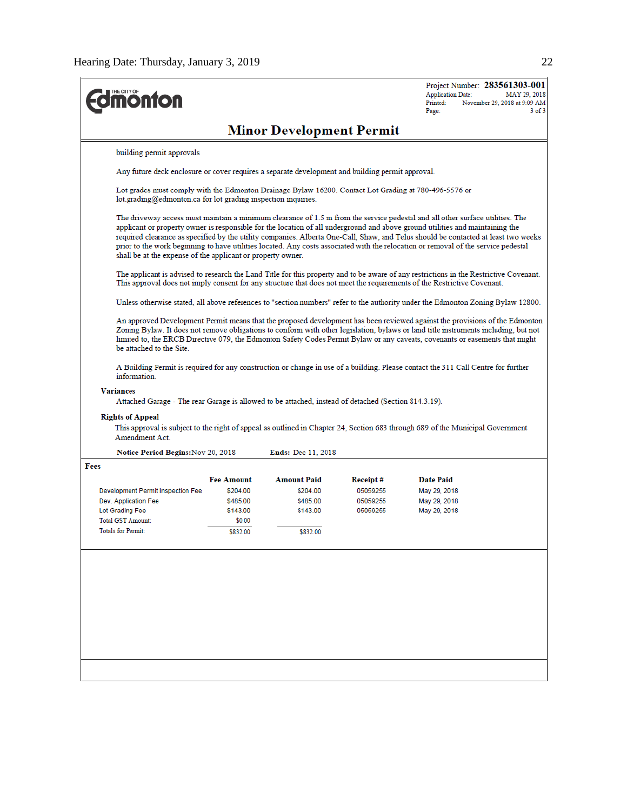| <b><i><u><b>MONTON</b></u></i></b>                                                                                                                                                                                                                                                                                                                                                                                             |                                                                                                                                                                                                                                                                                                                                                                                                                                                                                                                                                                                                           |                           |                      | Project Number: 283561303-001<br><b>Application Date:</b><br>MAY 29, 2018<br>Printed:<br>November 29, 2018 at 9:09 AM<br>Page:<br>$3$ of $3$                                                                                                                      |  |  |  |
|--------------------------------------------------------------------------------------------------------------------------------------------------------------------------------------------------------------------------------------------------------------------------------------------------------------------------------------------------------------------------------------------------------------------------------|-----------------------------------------------------------------------------------------------------------------------------------------------------------------------------------------------------------------------------------------------------------------------------------------------------------------------------------------------------------------------------------------------------------------------------------------------------------------------------------------------------------------------------------------------------------------------------------------------------------|---------------------------|----------------------|-------------------------------------------------------------------------------------------------------------------------------------------------------------------------------------------------------------------------------------------------------------------|--|--|--|
| <b>Minor Development Permit</b>                                                                                                                                                                                                                                                                                                                                                                                                |                                                                                                                                                                                                                                                                                                                                                                                                                                                                                                                                                                                                           |                           |                      |                                                                                                                                                                                                                                                                   |  |  |  |
| building permit approvals                                                                                                                                                                                                                                                                                                                                                                                                      |                                                                                                                                                                                                                                                                                                                                                                                                                                                                                                                                                                                                           |                           |                      |                                                                                                                                                                                                                                                                   |  |  |  |
|                                                                                                                                                                                                                                                                                                                                                                                                                                | Any future deck enclosure or cover requires a separate development and building permit approval.                                                                                                                                                                                                                                                                                                                                                                                                                                                                                                          |                           |                      |                                                                                                                                                                                                                                                                   |  |  |  |
|                                                                                                                                                                                                                                                                                                                                                                                                                                | Lot grades must comply with the Edmonton Drainage Bylaw 16200. Contact Lot Grading at 780-496-5576 or<br>$lot.$ grading $@$ edmonton.ca for lot grading inspection inquiries.                                                                                                                                                                                                                                                                                                                                                                                                                             |                           |                      |                                                                                                                                                                                                                                                                   |  |  |  |
|                                                                                                                                                                                                                                                                                                                                                                                                                                | The driveway access must maintain a minimum clearance of 1.5 m from the service pedestal and all other surface utilities. The<br>applicant or property owner is responsible for the location of all underground and above ground utilities and maintaining the<br>required clearance as specified by the utility companies. Alberta One-Call, Shaw, and Telus should be contacted at least two weeks<br>prior to the work beginning to have utilities located. Any costs associated with the relocation or removal of the service pedestal<br>shall be at the expense of the applicant or property owner. |                           |                      |                                                                                                                                                                                                                                                                   |  |  |  |
|                                                                                                                                                                                                                                                                                                                                                                                                                                |                                                                                                                                                                                                                                                                                                                                                                                                                                                                                                                                                                                                           |                           |                      | The applicant is advised to research the Land Title for this property and to be aware of any restrictions in the Restrictive Covenant.<br>This approval does not imply consent for any structure that does not meet the requirements of the Restrictive Covenant. |  |  |  |
|                                                                                                                                                                                                                                                                                                                                                                                                                                |                                                                                                                                                                                                                                                                                                                                                                                                                                                                                                                                                                                                           |                           |                      | Unless otherwise stated, all above references to "section numbers" refer to the authority under the Edmonton Zoning Bylaw 12800.                                                                                                                                  |  |  |  |
| An approved Development Permit means that the proposed development has been reviewed against the provisions of the Edmonton<br>Zoning Bylaw. It does not remove obligations to conform with other legislation, bylaws or land title instruments including, but not<br>limited to, the ERCB Directive 079, the Edmonton Safety Codes Permit Bylaw or any caveats, covenants or easements that might<br>be attached to the Site. |                                                                                                                                                                                                                                                                                                                                                                                                                                                                                                                                                                                                           |                           |                      |                                                                                                                                                                                                                                                                   |  |  |  |
| information.                                                                                                                                                                                                                                                                                                                                                                                                                   |                                                                                                                                                                                                                                                                                                                                                                                                                                                                                                                                                                                                           |                           |                      | A Building Permit is required for any construction or change in use of a building. Please contact the 311 Call Centre for further                                                                                                                                 |  |  |  |
| <b>Variances</b><br>.(Section 814.3.19). Attached Garage is allowed to be attached, instead of detached (Section 814.3.19                                                                                                                                                                                                                                                                                                      |                                                                                                                                                                                                                                                                                                                                                                                                                                                                                                                                                                                                           |                           |                      |                                                                                                                                                                                                                                                                   |  |  |  |
| <b>Rights of Appeal</b><br>This approval is subject to the right of appeal as outlined in Chapter 24, Section 683 through 689 of the Municipal Government<br>Amendment Act.                                                                                                                                                                                                                                                    |                                                                                                                                                                                                                                                                                                                                                                                                                                                                                                                                                                                                           |                           |                      |                                                                                                                                                                                                                                                                   |  |  |  |
| Notice Period Begins: Nov 20, 2018                                                                                                                                                                                                                                                                                                                                                                                             |                                                                                                                                                                                                                                                                                                                                                                                                                                                                                                                                                                                                           | <b>Ends: Dec 11, 2018</b> |                      |                                                                                                                                                                                                                                                                   |  |  |  |
| Fees                                                                                                                                                                                                                                                                                                                                                                                                                           |                                                                                                                                                                                                                                                                                                                                                                                                                                                                                                                                                                                                           |                           |                      |                                                                                                                                                                                                                                                                   |  |  |  |
|                                                                                                                                                                                                                                                                                                                                                                                                                                | <b>Fee Amount</b>                                                                                                                                                                                                                                                                                                                                                                                                                                                                                                                                                                                         | <b>Amount Paid</b>        | Receipt#             | <b>Date Paid</b>                                                                                                                                                                                                                                                  |  |  |  |
| Development Permit Inspection Fee<br>Dev. Application Fee                                                                                                                                                                                                                                                                                                                                                                      | \$204.00<br>\$485.00                                                                                                                                                                                                                                                                                                                                                                                                                                                                                                                                                                                      | \$204.00<br>\$485.00      | 05059255<br>05059255 | May 29, 2018<br>May 29, 2018                                                                                                                                                                                                                                      |  |  |  |
| Lot Grading Fee                                                                                                                                                                                                                                                                                                                                                                                                                | \$143.00                                                                                                                                                                                                                                                                                                                                                                                                                                                                                                                                                                                                  | \$143.00                  | 05059255             | May 29, 2018                                                                                                                                                                                                                                                      |  |  |  |
| <b>Total GST Amount:</b>                                                                                                                                                                                                                                                                                                                                                                                                       | \$0.00                                                                                                                                                                                                                                                                                                                                                                                                                                                                                                                                                                                                    |                           |                      |                                                                                                                                                                                                                                                                   |  |  |  |
| <b>Totals for Permit:</b>                                                                                                                                                                                                                                                                                                                                                                                                      | \$832.00                                                                                                                                                                                                                                                                                                                                                                                                                                                                                                                                                                                                  | \$832.00                  |                      |                                                                                                                                                                                                                                                                   |  |  |  |
|                                                                                                                                                                                                                                                                                                                                                                                                                                |                                                                                                                                                                                                                                                                                                                                                                                                                                                                                                                                                                                                           |                           |                      |                                                                                                                                                                                                                                                                   |  |  |  |
|                                                                                                                                                                                                                                                                                                                                                                                                                                |                                                                                                                                                                                                                                                                                                                                                                                                                                                                                                                                                                                                           |                           |                      |                                                                                                                                                                                                                                                                   |  |  |  |
|                                                                                                                                                                                                                                                                                                                                                                                                                                |                                                                                                                                                                                                                                                                                                                                                                                                                                                                                                                                                                                                           |                           |                      |                                                                                                                                                                                                                                                                   |  |  |  |
|                                                                                                                                                                                                                                                                                                                                                                                                                                |                                                                                                                                                                                                                                                                                                                                                                                                                                                                                                                                                                                                           |                           |                      |                                                                                                                                                                                                                                                                   |  |  |  |
|                                                                                                                                                                                                                                                                                                                                                                                                                                |                                                                                                                                                                                                                                                                                                                                                                                                                                                                                                                                                                                                           |                           |                      |                                                                                                                                                                                                                                                                   |  |  |  |
|                                                                                                                                                                                                                                                                                                                                                                                                                                |                                                                                                                                                                                                                                                                                                                                                                                                                                                                                                                                                                                                           |                           |                      |                                                                                                                                                                                                                                                                   |  |  |  |
|                                                                                                                                                                                                                                                                                                                                                                                                                                |                                                                                                                                                                                                                                                                                                                                                                                                                                                                                                                                                                                                           |                           |                      |                                                                                                                                                                                                                                                                   |  |  |  |
|                                                                                                                                                                                                                                                                                                                                                                                                                                |                                                                                                                                                                                                                                                                                                                                                                                                                                                                                                                                                                                                           |                           |                      |                                                                                                                                                                                                                                                                   |  |  |  |
|                                                                                                                                                                                                                                                                                                                                                                                                                                |                                                                                                                                                                                                                                                                                                                                                                                                                                                                                                                                                                                                           |                           |                      |                                                                                                                                                                                                                                                                   |  |  |  |
|                                                                                                                                                                                                                                                                                                                                                                                                                                |                                                                                                                                                                                                                                                                                                                                                                                                                                                                                                                                                                                                           |                           |                      |                                                                                                                                                                                                                                                                   |  |  |  |